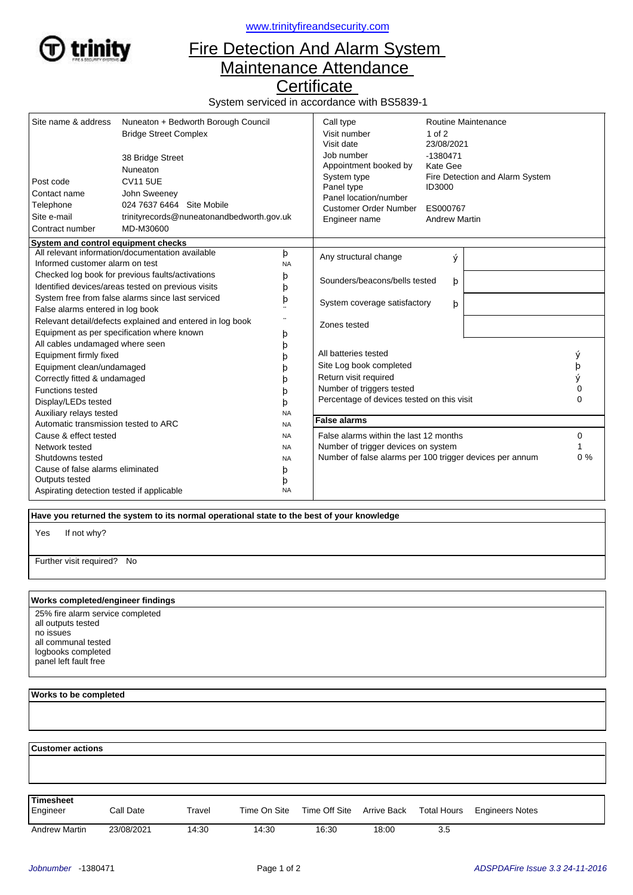

<www.trinityfireandsecurity.com>

## Fire Detection And Alarm System Maintenance Attendance

**Certificate** 

System serviced in accordance with BS5839-1

| Site name & address<br>Post code<br>Contact name<br>Telephone<br>Site e-mail<br>Contract number | Nuneaton + Bedworth Borough Council<br><b>Bridge Street Complex</b><br>38 Bridge Street<br>Nuneaton<br><b>CV11 5UE</b><br>John Sweeney<br>024 7637 6464 Site Mobile<br>trinityrecords@nuneatonandbedworth.gov.uk<br>MD-M30600 |                                                          | Call type<br>Visit number<br>Visit date<br>Job number<br>Appointment booked by<br>System type<br>Panel type<br>Panel location/number<br><b>Customer Order Number</b><br>Engineer name | Routine Maintenance<br>$1$ of $2$<br>23/08/2021<br>$-1380471$<br>Kate Gee<br>Fire Detection and Alarm System<br><b>ID3000</b><br>ES000767<br><b>Andrew Martin</b> |          |   |
|-------------------------------------------------------------------------------------------------|-------------------------------------------------------------------------------------------------------------------------------------------------------------------------------------------------------------------------------|----------------------------------------------------------|---------------------------------------------------------------------------------------------------------------------------------------------------------------------------------------|-------------------------------------------------------------------------------------------------------------------------------------------------------------------|----------|---|
| System and control equipment checks<br>All relevant information/documentation available<br>þ    |                                                                                                                                                                                                                               |                                                          |                                                                                                                                                                                       |                                                                                                                                                                   |          |   |
| Informed customer alarm on test                                                                 |                                                                                                                                                                                                                               | <b>NA</b>                                                | Any structural change                                                                                                                                                                 | ý                                                                                                                                                                 |          |   |
| Checked log book for previous faults/activations                                                |                                                                                                                                                                                                                               | þ                                                        | Sounders/beacons/bells tested                                                                                                                                                         | þ                                                                                                                                                                 |          |   |
| Identified devices/areas tested on previous visits                                              |                                                                                                                                                                                                                               | þ                                                        |                                                                                                                                                                                       |                                                                                                                                                                   |          |   |
| System free from false alarms since last serviced                                               |                                                                                                                                                                                                                               | þ                                                        | System coverage satisfactory<br>þ                                                                                                                                                     |                                                                                                                                                                   |          |   |
| False alarms entered in log book                                                                |                                                                                                                                                                                                                               |                                                          |                                                                                                                                                                                       |                                                                                                                                                                   |          |   |
| Relevant detail/defects explained and entered in log book                                       |                                                                                                                                                                                                                               |                                                          | Zones tested                                                                                                                                                                          |                                                                                                                                                                   |          |   |
| Equipment as per specification where known                                                      |                                                                                                                                                                                                                               | þ                                                        |                                                                                                                                                                                       |                                                                                                                                                                   |          |   |
| All cables undamaged where seen                                                                 |                                                                                                                                                                                                                               | þ                                                        |                                                                                                                                                                                       |                                                                                                                                                                   |          |   |
| Equipment firmly fixed                                                                          |                                                                                                                                                                                                                               | b                                                        | All batteries tested                                                                                                                                                                  |                                                                                                                                                                   |          | ý |
| Equipment clean/undamaged                                                                       |                                                                                                                                                                                                                               |                                                          | Site Log book completed                                                                                                                                                               |                                                                                                                                                                   |          | þ |
| Correctly fitted & undamaged                                                                    |                                                                                                                                                                                                                               | D                                                        | Return visit required                                                                                                                                                                 |                                                                                                                                                                   |          |   |
| <b>Functions tested</b>                                                                         |                                                                                                                                                                                                                               |                                                          | Number of triggers tested                                                                                                                                                             |                                                                                                                                                                   |          | 0 |
| Display/LEDs tested                                                                             |                                                                                                                                                                                                                               | b                                                        | Percentage of devices tested on this visit                                                                                                                                            |                                                                                                                                                                   | $\Omega$ |   |
| Auxiliary relays tested<br><b>NA</b>                                                            |                                                                                                                                                                                                                               |                                                          |                                                                                                                                                                                       |                                                                                                                                                                   |          |   |
| Automatic transmission tested to ARC<br><b>NA</b>                                               |                                                                                                                                                                                                                               |                                                          | <b>False alarms</b>                                                                                                                                                                   |                                                                                                                                                                   |          |   |
| Cause & effect tested<br><b>NA</b>                                                              |                                                                                                                                                                                                                               |                                                          | False alarms within the last 12 months                                                                                                                                                |                                                                                                                                                                   | 0        |   |
| Network tested<br><b>NA</b>                                                                     |                                                                                                                                                                                                                               |                                                          | Number of trigger devices on system                                                                                                                                                   |                                                                                                                                                                   |          |   |
| Shutdowns tested<br><b>NA</b>                                                                   |                                                                                                                                                                                                                               | Number of false alarms per 100 trigger devices per annum |                                                                                                                                                                                       | 0%                                                                                                                                                                |          |   |
| Cause of false alarms eliminated<br>þ                                                           |                                                                                                                                                                                                                               |                                                          |                                                                                                                                                                                       |                                                                                                                                                                   |          |   |
| Outputs tested<br>þ                                                                             |                                                                                                                                                                                                                               |                                                          |                                                                                                                                                                                       |                                                                                                                                                                   |          |   |
| Aspirating detection tested if applicable<br><b>NA</b>                                          |                                                                                                                                                                                                                               |                                                          |                                                                                                                                                                                       |                                                                                                                                                                   |          |   |

 **Have you returned the system to its normal operational state to the best of your knowledge**

If not why? Yes

Further visit required? No

## **Works completed/engineer findings**

25% fire alarm service completed all outputs tested no issues all communal tested logbooks completed panel left fault free

## **Works to be completed**

  **Customer actions** Engineer Call Date Travel Time On Site Time Off Site Arrive Back Total Hours Engineers Notes **Timesheet** Arrive Back Andrew Martin 23/08/2021 14:30 14:30 16:30 18:00 3.5